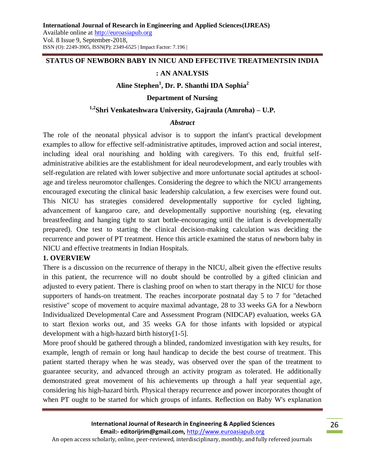### **STATUS OF NEWBORN BABY IN NICU AND EFFECTIVE TREATMENTSIN INDIA**

### **: AN ANALYSIS**

# **Aline Stephen<sup>1</sup> , Dr. P. Shanthi IDA Sophia<sup>2</sup>**

#### **Department of Nursing**

#### **1,2Shri Venkateshwara University, Gajraula (Amroha) – U.P.**

#### *Abstract*

The role of the neonatal physical advisor is to support the infant's practical development examples to allow for effective self-administrative aptitudes, improved action and social interest, including ideal oral nourishing and holding with caregivers. To this end, fruitful selfadministrative abilities are the establishment for ideal neurodevelopment, and early troubles with self-regulation are related with lower subjective and more unfortunate social aptitudes at schoolage and tireless neuromotor challenges. Considering the degree to which the NICU arrangements encouraged executing the clinical basic leadership calculation, a few exercises were found out. This NICU has strategies considered developmentally supportive for cycled lighting, advancement of kangaroo care, and developmentally supportive nourishing (eg, elevating breastfeeding and hanging tight to start bottle-encouraging until the infant is developmentally prepared). One test to starting the clinical decision-making calculation was deciding the recurrence and power of PT treatment. Hence this article examined the status of newborn baby in NICU and effective treatments in Indian Hospitals.

#### **1. OVERVIEW**

There is a discussion on the recurrence of therapy in the NICU, albeit given the effective results in this patient, the recurrence will no doubt should be controlled by a gifted clinician and adjusted to every patient. There is clashing proof on when to start therapy in the NICU for those supporters of hands-on treatment. The reaches incorporate postnatal day 5 to 7 for "detached resistive" scope of movement to acquire maximal advantage, 28 to 33 weeks GA for a Newborn Individualized Developmental Care and Assessment Program (NIDCAP) evaluation, weeks GA to start flexion works out, and 35 weeks GA for those infants with lopsided or atypical development with a high-hazard birth history[1-5].

More proof should be gathered through a blinded, randomized investigation with key results, for example, length of remain or long haul handicap to decide the best course of treatment. This patient started therapy when he was steady, was observed over the span of the treatment to guarantee security, and advanced through an activity program as tolerated. He additionally demonstrated great movement of his achievements up through a half year sequential age, considering his high-hazard birth. Physical therapy recurrence and power incorporates thought of when PT ought to be started for which groups of infants. Reflection on Baby W's explanation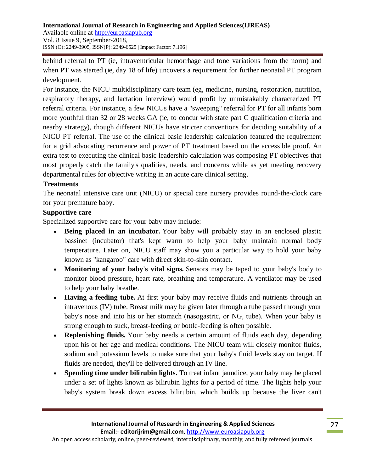behind referral to PT (ie, intraventricular hemorrhage and tone variations from the norm) and when PT was started (ie, day 18 of life) uncovers a requirement for further neonatal PT program development.

For instance, the NICU multidisciplinary care team (eg, medicine, nursing, restoration, nutrition, respiratory therapy, and lactation interview) would profit by unmistakably characterized PT referral criteria. For instance, a few NICUs have a "sweeping" referral for PT for all infants born more youthful than 32 or 28 weeks GA (ie, to concur with state part C qualification criteria and nearby strategy), though different NICUs have stricter conventions for deciding suitability of a NICU PT referral. The use of the clinical basic leadership calculation featured the requirement for a grid advocating recurrence and power of PT treatment based on the accessible proof. An extra test to executing the clinical basic leadership calculation was composing PT objectives that most properly catch the family's qualities, needs, and concerns while as yet meeting recovery departmental rules for objective writing in an acute care clinical setting.

## **Treatments**

The neonatal intensive care unit (NICU) or special care nursery provides round-the-clock care for your premature baby.

### **Supportive care**

Specialized supportive care for your baby may include:

- **Being placed in an incubator.** Your baby will probably stay in an enclosed plastic bassinet (incubator) that's kept warm to help your baby maintain normal body temperature. Later on, NICU staff may show you a particular way to hold your baby known as "kangaroo" care with direct skin-to-skin contact.
- **Monitoring of your baby's vital signs.** Sensors may be taped to your baby's body to monitor blood pressure, heart rate, breathing and temperature. A ventilator may be used to help your baby breathe.
- **Having a feeding tube.** At first your baby may receive fluids and nutrients through an intravenous (IV) tube. Breast milk may be given later through a tube passed through your baby's nose and into his or her stomach (nasogastric, or NG, tube). When your baby is strong enough to suck, breast-feeding or bottle-feeding is often possible.
- **Replenishing fluids.** Your baby needs a certain amount of fluids each day, depending upon his or her age and medical conditions. The NICU team will closely monitor fluids, sodium and potassium levels to make sure that your baby's fluid levels stay on target. If fluids are needed, they'll be delivered through an IV line.
- **Spending time under bilirubin lights.** To treat infant jaundice, your baby may be placed under a set of lights known as bilirubin lights for a period of time. The lights help your baby's system break down excess bilirubin, which builds up because the liver can't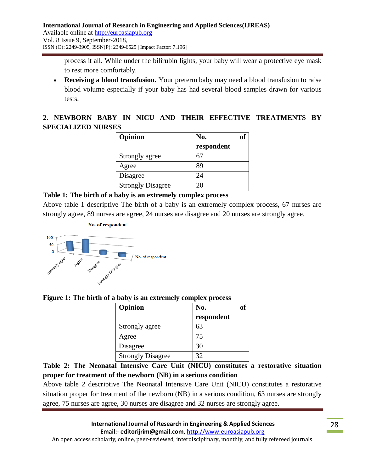process it all. While under the bilirubin lights, your baby will wear a protective eye mask to rest more comfortably.

 **Receiving a blood transfusion.** Your preterm baby may need a blood transfusion to raise blood volume especially if your baby has had several blood samples drawn for various tests.

# **2. NEWBORN BABY IN NICU AND THEIR EFFECTIVE TREATMENTS BY SPECIALIZED NURSES**

| Opinion                  | No.        |
|--------------------------|------------|
|                          | respondent |
| Strongly agree           | 67         |
| Agree                    | 89         |
| Disagree                 | 24         |
| <b>Strongly Disagree</b> | 20         |

# **Table 1: The birth of a baby is an extremely complex process**

Above table 1 descriptive The birth of a baby is an extremely complex process, 67 nurses are strongly agree, 89 nurses are agree, 24 nurses are disagree and 20 nurses are strongly agree.



# **Figure 1: The birth of a baby is an extremely complex process**

| Opinion                  | No.        | оf |
|--------------------------|------------|----|
|                          | respondent |    |
| Strongly agree           | 63         |    |
| Agree                    | 75         |    |
| Disagree                 | 30         |    |
| <b>Strongly Disagree</b> | 32         |    |

**Table 2: The Neonatal Intensive Care Unit (NICU) constitutes a restorative situation proper for treatment of the newborn (NB) in a serious condition**

Above table 2 descriptive The Neonatal Intensive Care Unit (NICU) constitutes a restorative situation proper for treatment of the newborn (NB) in a serious condition, 63 nurses are strongly agree, 75 nurses are agree, 30 nurses are disagree and 32 nurses are strongly agree.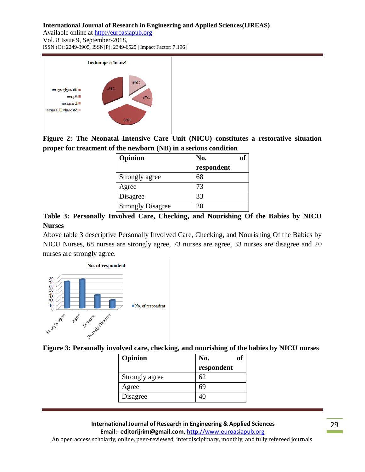#### **International Journal of Research in Engineering and Applied Sciences(IJREAS)**

Available online at http://euroasiapub.org Vol. 8 Issue 9, September-2018, ISSN (O): 2249-3905, ISSN(P): 2349-6525 | Impact Factor: 7.196 |



**Figure 2: The Neonatal Intensive Care Unit (NICU) constitutes a restorative situation proper for treatment of the newborn (NB) in a serious condition**

| Opinion                  | No.        |  |
|--------------------------|------------|--|
|                          | respondent |  |
| Strongly agree           | 68         |  |
| Agree                    | 73         |  |
| Disagree                 | 33         |  |
| <b>Strongly Disagree</b> | $2\Gamma$  |  |

**Table 3: Personally Involved Care, Checking, and Nourishing Of the Babies by NICU Nurses** 

Above table 3 descriptive Personally Involved Care, Checking, and Nourishing Of the Babies by NICU Nurses, 68 nurses are strongly agree, 73 nurses are agree, 33 nurses are disagree and 20 nurses are strongly agree.



**Figure 3: Personally involved care, checking, and nourishing of the babies by NICU nurses**

| Opinion        | No.<br>ОI  |
|----------------|------------|
|                | respondent |
| Strongly agree | 62         |
| Agree          | 69         |
| Disagree       |            |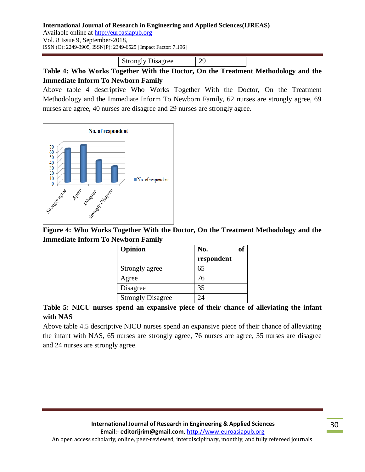#### **International Journal of Research in Engineering and Applied Sciences(IJREAS)**

Available online at http://euroasiapub.org Vol. 8 Issue 9, September-2018, ISSN (O): 2249-3905, ISSN(P): 2349-6525 | Impact Factor: 7.196 |

Strongly Disagree 29

**Table 4: Who Works Together With the Doctor, On the Treatment Methodology and the Immediate Inform To Newborn Family**

Above table 4 descriptive Who Works Together With the Doctor, On the Treatment Methodology and the Immediate Inform To Newborn Family, 62 nurses are strongly agree, 69 nurses are agree, 40 nurses are disagree and 29 nurses are strongly agree.



**Figure 4: Who Works Together With the Doctor, On the Treatment Methodology and the Immediate Inform To Newborn Family**

| Opinion                  | No.                  |
|--------------------------|----------------------|
|                          | respondent           |
| Strongly agree           | 65                   |
| Agree                    | 76                   |
| Disagree                 | 35                   |
| <b>Strongly Disagree</b> | $\gamma_{\varDelta}$ |

# **Table 5: NICU nurses spend an expansive piece of their chance of alleviating the infant with NAS**

Above table 4.5 descriptive NICU nurses spend an expansive piece of their chance of alleviating the infant with NAS, 65 nurses are strongly agree, 76 nurses are agree, 35 nurses are disagree and 24 nurses are strongly agree.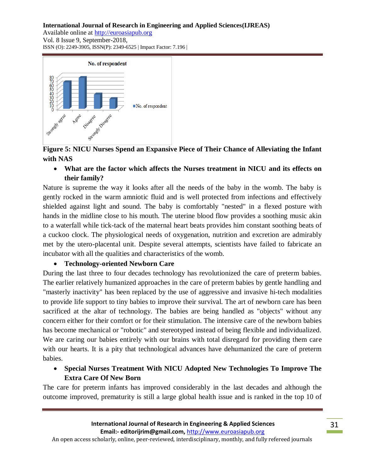#### **International Journal of Research in Engineering and Applied Sciences(IJREAS)**

Available online at http://euroasiapub.org Vol. 8 Issue 9, September-2018, ISSN (O): 2249-3905, ISSN(P): 2349-6525 | Impact Factor: 7.196 |



**Figure 5: NICU Nurses Spend an Expansive Piece of Their Chance of Alleviating the Infant with NAS**

 **What are the factor which affects the Nurses treatment in NICU and its effects on their family?**

Nature is supreme the way it looks after all the needs of the baby in the womb. The baby is gently rocked in the warm amniotic fluid and is well protected from infections and effectively shielded against light and sound. The baby is comfortably "nested" in a flexed posture with hands in the midline close to his mouth. The uterine blood flow provides a soothing music akin to a waterfall while tick-tack of the maternal heart beats provides him constant soothing beats of a cuckoo clock. The physiological needs of oxygenation, nutrition and excretion are admirably met by the utero-placental unit. Despite several attempts, scientists have failed to fabricate an incubator with all the qualities and characteristics of the womb.

### **Technology-oriented Newborn Care**

During the last three to four decades technology has revolutionized the care of preterm babies. The earlier relatively humanized approaches in the care of preterm babies by gentle handling and "masterly inactivity" has been replaced by the use of aggressive and invasive hi-tech modalities to provide life support to tiny babies to improve their survival. The art of newborn care has been sacrificed at the altar of technology. The babies are being handled as "objects" without any concern either for their comfort or for their stimulation. The intensive care of the newborn babies has become mechanical or "robotic" and stereotyped instead of being flexible and individualized. We are caring our babies entirely with our brains with total disregard for providing them care with our hearts. It is a pity that technological advances have dehumanized the care of preterm babies.

# **Special Nurses Treatment With NICU Adopted New Technologies To Improve The Extra Care Of New Born**

The care for preterm infants has improved considerably in the last decades and although the outcome improved, prematurity is still a large global health issue and is ranked in the top 10 of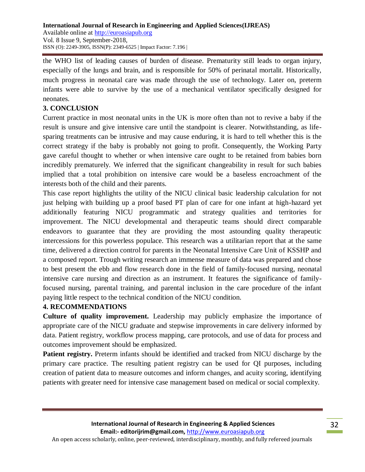the WHO list of leading causes of burden of disease. Prematurity still leads to organ injury, especially of the lungs and brain, and is responsible for 50% of perinatal mortalit. Historically, much progress in neonatal care was made through the use of technology. Later on, preterm infants were able to survive by the use of a mechanical ventilator specifically designed for neonates.

### **3. CONCLUSION**

Current practice in most neonatal units in the UK is more often than not to revive a baby if the result is unsure and give intensive care until the standpoint is clearer. Notwithstanding, as lifesparing treatments can be intrusive and may cause enduring, it is hard to tell whether this is the correct strategy if the baby is probably not going to profit. Consequently, the Working Party gave careful thought to whether or when intensive care ought to be retained from babies born incredibly prematurely. We inferred that the significant changeability in result for such babies implied that a total prohibition on intensive care would be a baseless encroachment of the interests both of the child and their parents.

This case report highlights the utility of the NICU clinical basic leadership calculation for not just helping with building up a proof based PT plan of care for one infant at high-hazard yet additionally featuring NICU programmatic and strategy qualities and territories for improvement. The NICU developmental and therapeutic teams should direct comparable endeavors to guarantee that they are providing the most astounding quality therapeutic intercessions for this powerless populace. This research was a utilitarian report that at the same time, delivered a direction control for parents in the Neonatal Intensive Care Unit of KSSHP and a composed report. Trough writing research an immense measure of data was prepared and chose to best present the ebb and flow research done in the field of family-focused nursing, neonatal intensive care nursing and direction as an instrument. It features the significance of familyfocused nursing, parental training, and parental inclusion in the care procedure of the infant paying little respect to the technical condition of the NICU condition.

### **4. RECOMMENDATIONS**

**Culture of quality improvement.** Leadership may publicly emphasize the importance of appropriate care of the NICU graduate and stepwise improvements in care delivery informed by data. Patient registry, workflow process mapping, care protocols, and use of data for process and outcomes improvement should be emphasized.

**Patient registry.** Preterm infants should be identified and tracked from NICU discharge by the primary care practice. The resulting patient registry can be used for QI purposes, including creation of patient data to measure outcomes and inform changes, and acuity scoring, identifying patients with greater need for intensive case management based on medical or social complexity.